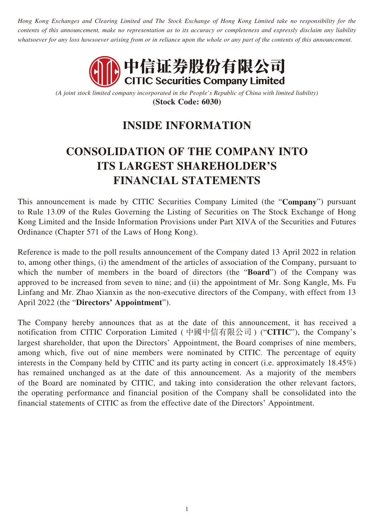*Hong Kong Exchanges and Clearing Limited and The Stock Exchange of Hong Kong Limited take no responsibility for the contents of this announcement, make no representation as to its accuracy or completeness and expressly disclaim any liability whatsoever for any loss howsoever arising from or in reliance upon the whole or any part of the contents of this announcement.*



*(A joint stock limited company incorporated in the People's Republic of China with limited liability)* **(Stock Code: 6030)**

## **INSIDE INFORMATION**

## **CONSOLIDATION OF THE COMPANY INTO ITS LARGEST SHAREHOLDER'S FINANCIAL STATEMENTS**

This announcement is made by CITIC Securities Company Limited (the "**Company**") pursuant to Rule 13.09 of the Rules Governing the Listing of Securities on The Stock Exchange of Hong Kong Limited and the Inside Information Provisions under Part XIVA of the Securities and Futures Ordinance (Chapter 571 of the Laws of Hong Kong).

Reference is made to the poll results announcement of the Company dated 13 April 2022 in relation to, among other things, (i) the amendment of the articles of association of the Company, pursuant to which the number of members in the board of directors (the "**Board**") of the Company was approved to be increased from seven to nine; and (ii) the appointment of Mr. Song Kangle, Ms. Fu Linfang and Mr. Zhao Xianxin as the non-executive directors of the Company, with effect from 13 April 2022 (the "**Directors' Appointment**").

The Company hereby announces that as at the date of this announcement, it has received a notification from CITIC Corporation Limited ( 中國中信有限公司 ) ("**CITIC**"), the Company's largest shareholder, that upon the Directors' Appointment, the Board comprises of nine members, among which, five out of nine members were nominated by CITIC. The percentage of equity interests in the Company held by CITIC and its party acting in concert (i.e. approximately 18.45%) has remained unchanged as at the date of this announcement. As a majority of the members of the Board are nominated by CITIC, and taking into consideration the other relevant factors, the operating performance and financial position of the Company shall be consolidated into the financial statements of CITIC as from the effective date of the Directors' Appointment.